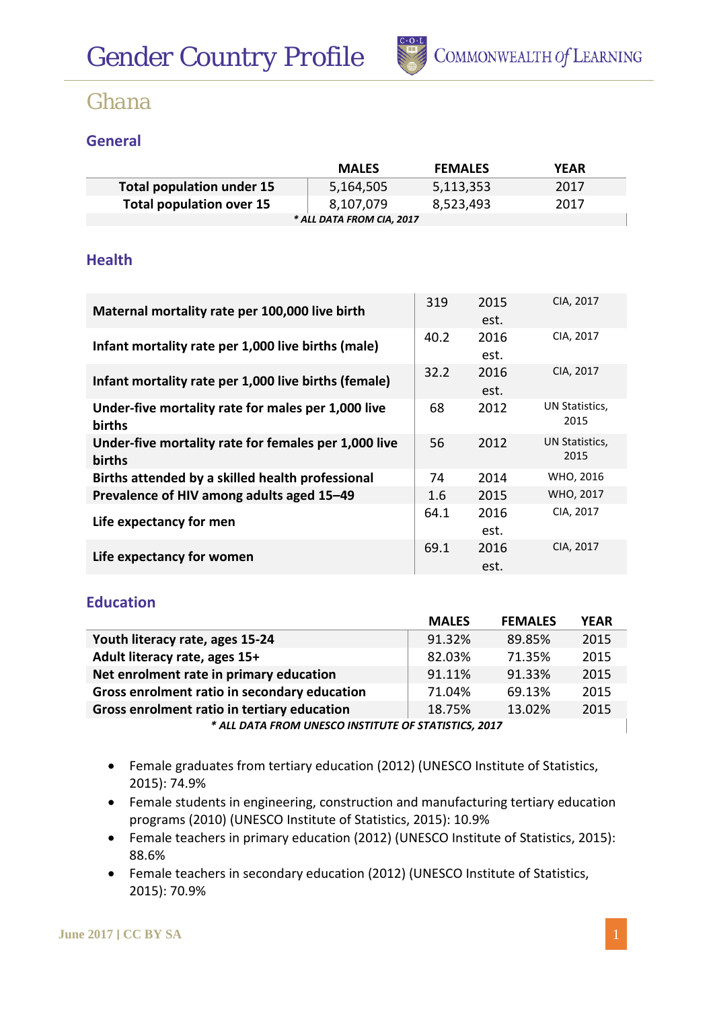

## **General**

|                                  | <b>MALES</b>              | <b>FEMALES</b> | <b>YEAR</b> |
|----------------------------------|---------------------------|----------------|-------------|
| <b>Total population under 15</b> | 5,164,505                 | 5,113,353      | 2017        |
| Total population over 15         | 8,107,079                 | 8,523,493      | 2017        |
|                                  | * ALL DATA FROM CIA, 2017 |                |             |

### **Health**

| Maternal mortality rate per 100,000 live birth                 | 319  | 2015<br>est. | CIA, 2017              |
|----------------------------------------------------------------|------|--------------|------------------------|
| Infant mortality rate per 1,000 live births (male)             | 40.2 | 2016<br>est. | CIA, 2017              |
| Infant mortality rate per 1,000 live births (female)           | 32.2 | 2016<br>est. | CIA, 2017              |
| Under-five mortality rate for males per 1,000 live<br>births   | 68   | 2012         | UN Statistics,<br>2015 |
| Under-five mortality rate for females per 1,000 live<br>births | 56   | 2012         | UN Statistics,<br>2015 |
| Births attended by a skilled health professional               | 74   | 2014         | WHO, 2016              |
| Prevalence of HIV among adults aged 15-49                      | 1.6  | 2015         | WHO, 2017              |
| Life expectancy for men                                        | 64.1 | 2016<br>est. | CIA, 2017              |
| Life expectancy for women                                      | 69.1 | 2016<br>est. | CIA, 2017              |

#### **Education**

|                                                      | <b>MALES</b> | <b>FEMALES</b> | <b>YEAR</b> |  |  |
|------------------------------------------------------|--------------|----------------|-------------|--|--|
| Youth literacy rate, ages 15-24                      | 91.32%       | 89.85%         | 2015        |  |  |
| Adult literacy rate, ages 15+                        | 82.03%       | 71.35%         | 2015        |  |  |
| Net enrolment rate in primary education              | 91.11%       | 91.33%         | 2015        |  |  |
| Gross enrolment ratio in secondary education         | 71.04%       | 69.13%         | 2015        |  |  |
| Gross enrolment ratio in tertiary education          | 18.75%       | 13.02%         | 2015        |  |  |
| * ALL DATA FROM UNESCO INSTITUTE OF STATISTICS, 2017 |              |                |             |  |  |

- Female graduates from tertiary education (2012) (UNESCO Institute of Statistics, 2015): 74.9%
- Female students in engineering, construction and manufacturing tertiary education programs (2010) (UNESCO Institute of Statistics, 2015): 10.9%
- Female teachers in primary education (2012) (UNESCO Institute of Statistics, 2015): 88.6%
- Female teachers in secondary education (2012) (UNESCO Institute of Statistics, 2015): 70.9%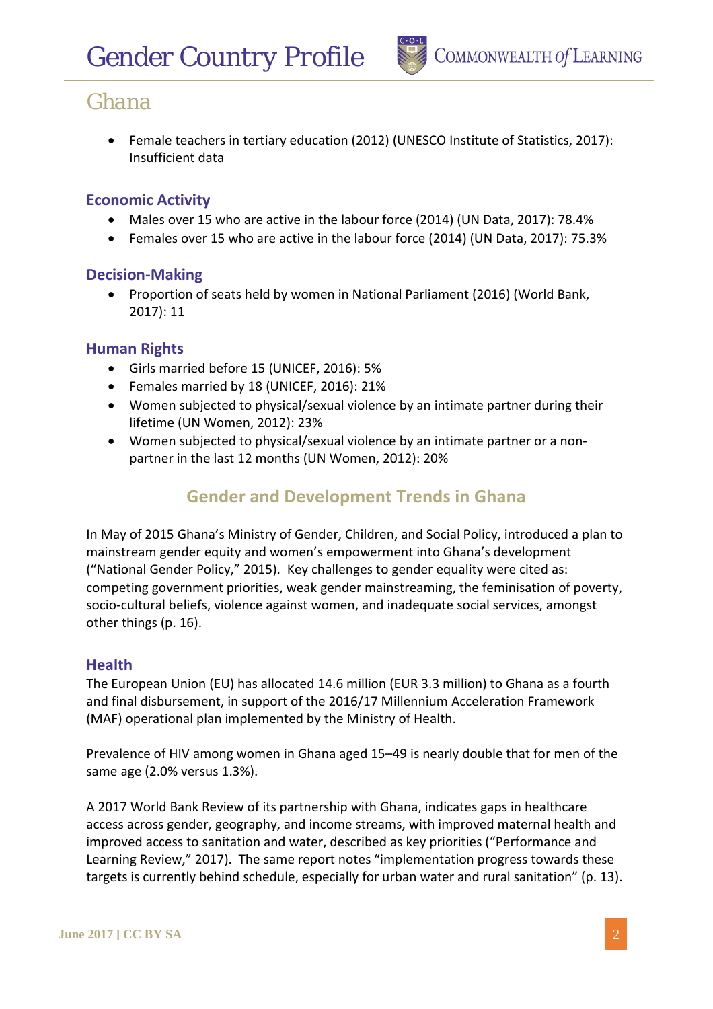• Female teachers in tertiary education (2012) (UNESCO Institute of Statistics, 2017): Insufficient data

### **Economic Activity**

- Males over 15 who are active in the labour force (2014) (UN Data, 2017): 78.4%
- Females over 15 who are active in the labour force (2014) (UN Data, 2017): 75.3%

### **Decision-Making**

• Proportion of seats held by women in National Parliament (2016) (World Bank, 2017): 11

### **Human Rights**

- Girls married before 15 (UNICEF, 2016): 5%
- Females married by 18 (UNICEF, 2016): 21%
- Women subjected to physical/sexual violence by an intimate partner during their lifetime (UN Women, 2012): 23%
- Women subjected to physical/sexual violence by an intimate partner or a nonpartner in the last 12 months (UN Women, 2012): 20%

## **Gender and Development Trends in Ghana**

In May of 2015 Ghana's Ministry of Gender, Children, and Social Policy, introduced a plan to mainstream gender equity and women's empowerment into Ghana's development ("National Gender Policy," 2015). Key challenges to gender equality were cited as: competing government priorities, weak gender mainstreaming, the feminisation of poverty, socio-cultural beliefs, violence against women, and inadequate social services, amongst other things (p. 16).

### **Health**

The European Union (EU) has allocated 14.6 million (EUR 3.3 million) to Ghana as a fourth and final disbursement, in support of the 2016/17 Millennium Acceleration Framework (MAF) operational plan implemented by the Ministry of Health.

Prevalence of HIV among women in Ghana aged 15–49 is nearly double that for men of the same age (2.0% versus 1.3%).

A 2017 World Bank Review of its partnership with Ghana, indicates gaps in healthcare access across gender, geography, and income streams, with improved maternal health and improved access to sanitation and water, described as key priorities ("Performance and Learning Review," 2017). The same report notes "implementation progress towards these targets is currently behind schedule, especially for urban water and rural sanitation" (p. 13).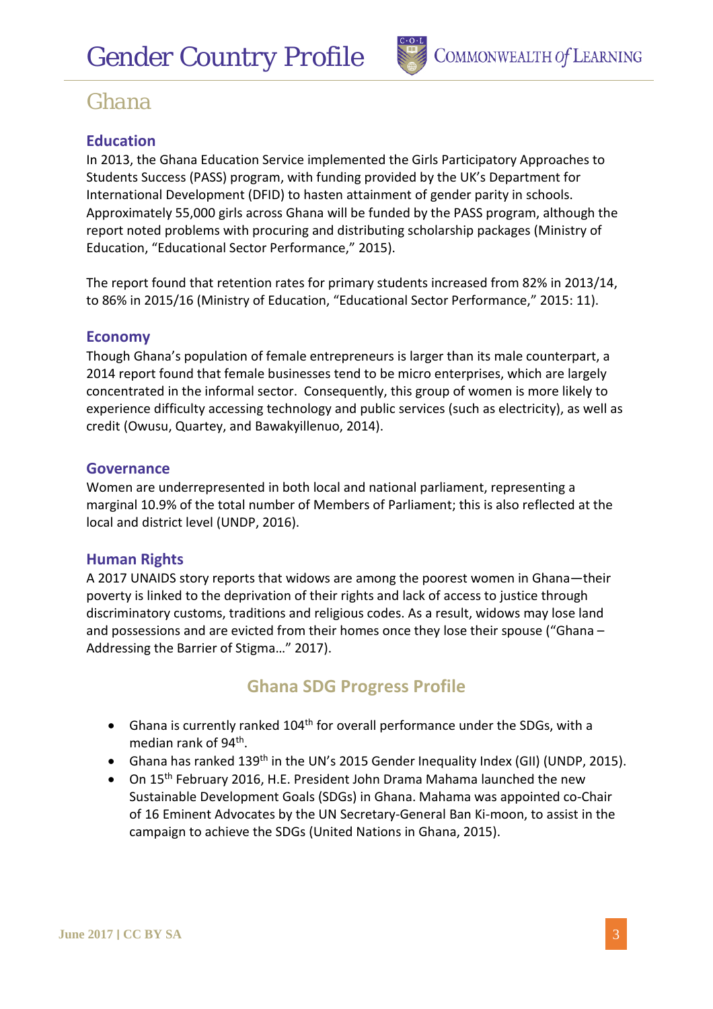

## **Education**

In 2013, the Ghana Education Service implemented the Girls Participatory Approaches to Students Success (PASS) program, with funding provided by the UK's Department for International Development (DFID) to hasten attainment of gender parity in schools. Approximately 55,000 girls across Ghana will be funded by the PASS program, although the report noted problems with procuring and distributing scholarship packages (Ministry of Education, "Educational Sector Performance," 2015).

The report found that retention rates for primary students increased from 82% in 2013/14, to 86% in 2015/16 (Ministry of Education, "Educational Sector Performance," 2015: 11).

#### **Economy**

Though Ghana's population of female entrepreneurs is larger than its male counterpart, a 2014 report found that female businesses tend to be micro enterprises, which are largely concentrated in the informal sector. Consequently, this group of women is more likely to experience difficulty accessing technology and public services (such as electricity), as well as credit (Owusu, Quartey, and Bawakyillenuo, 2014).

#### **Governance**

Women are underrepresented in both local and national parliament, representing a marginal 10.9% of the total number of Members of Parliament; this is also reflected at the local and district level (UNDP, 2016).

#### **Human Rights**

A 2017 UNAIDS story reports that widows are among the poorest women in Ghana—their poverty is linked to the deprivation of their rights and lack of access to justice through discriminatory customs, traditions and religious codes. As a result, widows may lose land and possessions and are evicted from their homes once they lose their spouse ("Ghana – Addressing the Barrier of Stigma…" 2017).

## **Ghana SDG Progress Profile**

- Ghana is currently ranked 104<sup>th</sup> for overall performance under the SDGs, with a median rank of  $94<sup>th</sup>$ .
- Ghana has ranked 139<sup>th</sup> in the UN's 2015 Gender Inequality Index (GII) (UNDP, 2015).
- On 15<sup>th</sup> February 2016, H.E. President John Drama Mahama launched the new Sustainable Development Goals (SDGs) in Ghana. Mahama was appointed co-Chair of 16 Eminent Advocates by the UN Secretary-General Ban Ki-moon, to assist in the campaign to achieve the SDGs (United Nations in Ghana, 2015).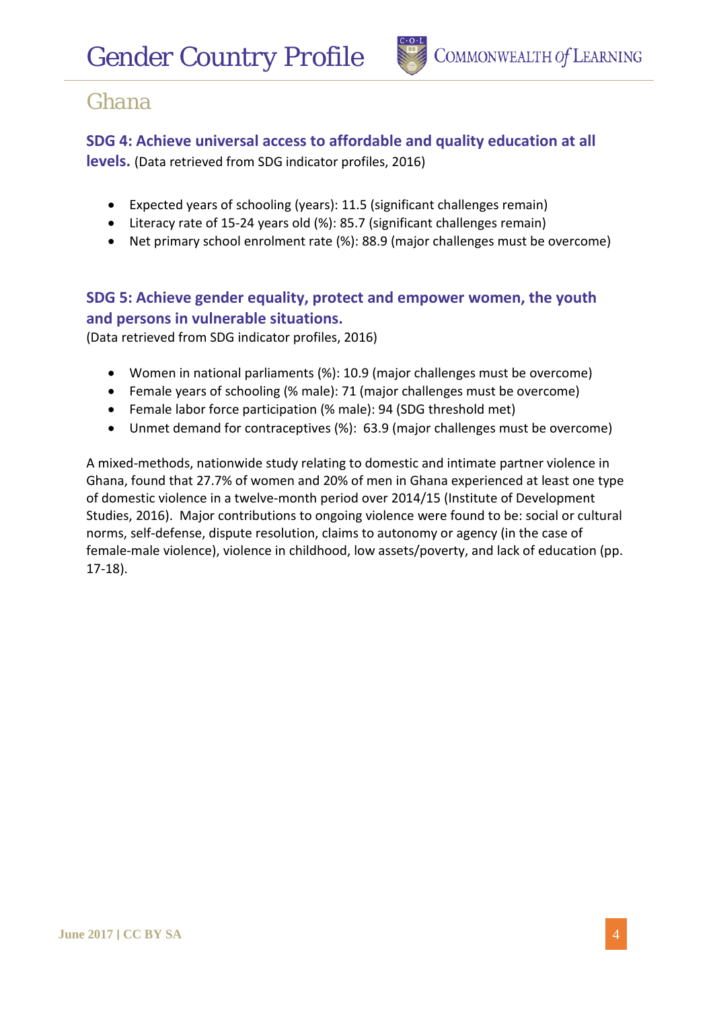

### **SDG 4: Achieve universal access to affordable and quality education at all**

**levels.** (Data retrieved from SDG indicator profiles, 2016)

- Expected years of schooling (years): 11.5 (significant challenges remain)
- Literacy rate of 15-24 years old (%): 85.7 (significant challenges remain)
- Net primary school enrolment rate (%): 88.9 (major challenges must be overcome)

## **SDG 5: Achieve gender equality, protect and empower women, the youth and persons in vulnerable situations.**

(Data retrieved from SDG indicator profiles, 2016)

- Women in national parliaments (%): 10.9 (major challenges must be overcome)
- Female years of schooling (% male): 71 (major challenges must be overcome)
- Female labor force participation (% male): 94 (SDG threshold met)
- Unmet demand for contraceptives (%): 63.9 (major challenges must be overcome)

A mixed-methods, nationwide study relating to domestic and intimate partner violence in Ghana, found that 27.7% of women and 20% of men in Ghana experienced at least one type of domestic violence in a twelve-month period over 2014/15 (Institute of Development Studies, 2016). Major contributions to ongoing violence were found to be: social or cultural norms, self-defense, dispute resolution, claims to autonomy or agency (in the case of female-male violence), violence in childhood, low assets/poverty, and lack of education (pp. 17-18).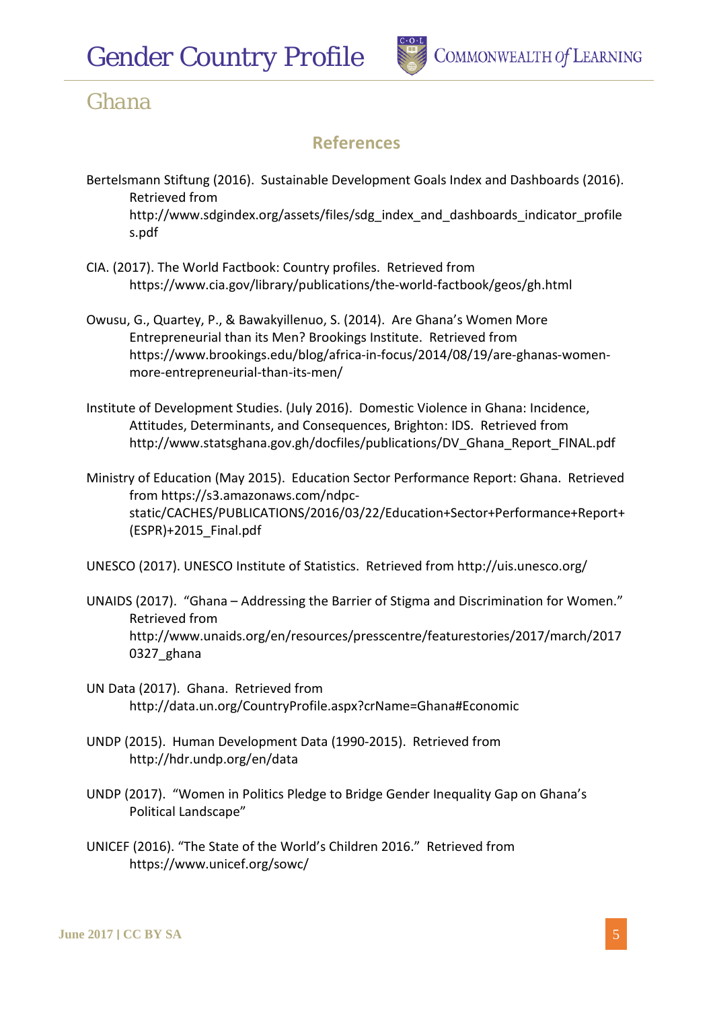

## **References**

- Bertelsmann Stiftung (2016). Sustainable Development Goals Index and Dashboards (2016). Retrieved from http://www.sdgindex.org/assets/files/sdg\_index\_and\_dashboards\_indicator\_profile s.pdf
- CIA. (2017). The World Factbook: Country profiles. Retrieved from https://www.cia.gov/library/publications/the-world-factbook/geos/gh.html
- Owusu, G., Quartey, P., & Bawakyillenuo, S. (2014). Are Ghana's Women More Entrepreneurial than its Men? Brookings Institute. Retrieved from https://www.brookings.edu/blog/africa-in-focus/2014/08/19/are-ghanas-womenmore-entrepreneurial-than-its-men/
- Institute of Development Studies. (July 2016). Domestic Violence in Ghana: Incidence, Attitudes, Determinants, and Consequences, Brighton: IDS. Retrieved from http://www.statsghana.gov.gh/docfiles/publications/DV\_Ghana\_Report\_FINAL.pdf
- Ministry of Education (May 2015). Education Sector Performance Report: Ghana. Retrieved from https://s3.amazonaws.com/ndpcstatic/CACHES/PUBLICATIONS/2016/03/22/Education+Sector+Performance+Report+ (ESPR)+2015\_Final.pdf

UNESCO (2017). UNESCO Institute of Statistics. Retrieved from http://uis.unesco.org/

- UNAIDS (2017). "Ghana Addressing the Barrier of Stigma and Discrimination for Women." Retrieved from http://www.unaids.org/en/resources/presscentre/featurestories/2017/march/2017 0327\_ghana
- UN Data (2017). Ghana. Retrieved from http://data.un.org/CountryProfile.aspx?crName=Ghana#Economic
- UNDP (2015). Human Development Data (1990-2015). Retrieved from http://hdr.undp.org/en/data
- UNDP (2017). "Women in Politics Pledge to Bridge Gender Inequality Gap on Ghana's Political Landscape"
- UNICEF (2016). "The State of the World's Children 2016." Retrieved from https://www.unicef.org/sowc/